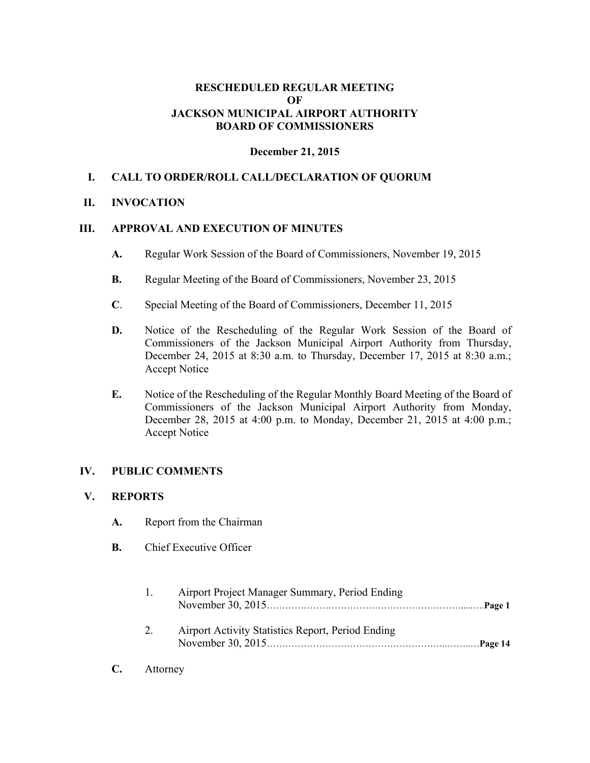## **RESCHEDULED REGULAR MEETING OF JACKSON MUNICIPAL AIRPORT AUTHORITY BOARD OF COMMISSIONERS**

#### **December 21, 2015**

## **I. CALL TO ORDER/ROLL CALL/DECLARATION OF QUORUM**

#### **II. INVOCATION**

#### **III. APPROVAL AND EXECUTION OF MINUTES**

- **A.** Regular Work Session of the Board of Commissioners, November 19, 2015
- **B.** Regular Meeting of the Board of Commissioners, November 23, 2015
- **C**. Special Meeting of the Board of Commissioners, December 11, 2015
- **D.** Notice of the Rescheduling of the Regular Work Session of the Board of Commissioners of the Jackson Municipal Airport Authority from Thursday, December 24, 2015 at 8:30 a.m. to Thursday, December 17, 2015 at 8:30 a.m.; Accept Notice
- **E.** Notice of the Rescheduling of the Regular Monthly Board Meeting of the Board of Commissioners of the Jackson Municipal Airport Authority from Monday, December 28, 2015 at 4:00 p.m. to Monday, December 21, 2015 at 4:00 p.m.; Accept Notice

## **IV. PUBLIC COMMENTS**

#### **V. REPORTS**

- **A.** Report from the Chairman
- **B.** Chief Executive Officer

| $\mathbf{L}$ | Airport Project Manager Summary, Period Ending    |  |
|--------------|---------------------------------------------------|--|
| 2.           | Airport Activity Statistics Report, Period Ending |  |

**C.** Attorney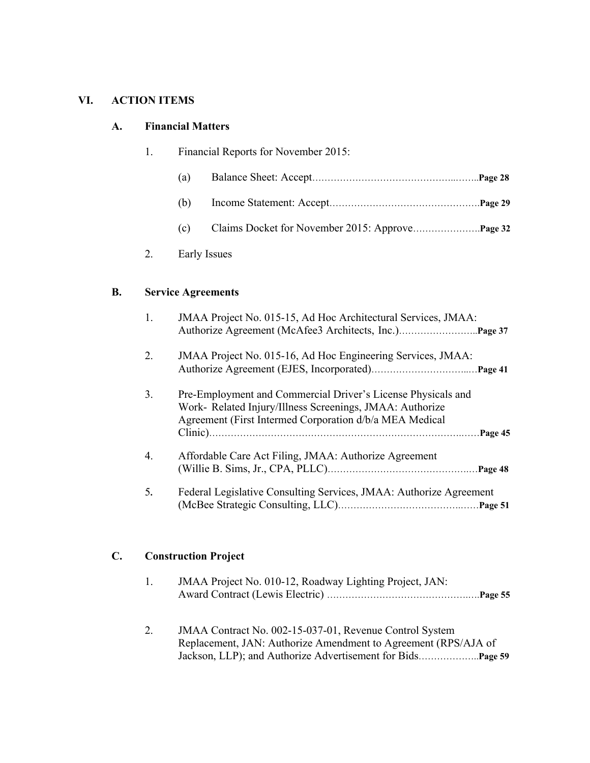# **VI. ACTION ITEMS**

## **A. Financial Matters**

|  | Financial Reports for November 2015: |              |  |
|--|--------------------------------------|--------------|--|
|  | (a)                                  |              |  |
|  | (b)                                  |              |  |
|  | (c)                                  |              |  |
|  |                                      | Early Issues |  |

#### **B. Service Agreements**

| 1. | JMAA Project No. 015-15, Ad Hoc Architectural Services, JMAA:                                                                                                                                  |
|----|------------------------------------------------------------------------------------------------------------------------------------------------------------------------------------------------|
| 2. | JMAA Project No. 015-16, Ad Hoc Engineering Services, JMAA:                                                                                                                                    |
| 3. | Pre-Employment and Commercial Driver's License Physicals and<br>Work- Related Injury/Illness Screenings, JMAA: Authorize<br>Agreement (First Intermed Corporation d/b/a MEA Medical<br>Page 45 |
| 4. | Affordable Care Act Filing, JMAA: Authorize Agreement                                                                                                                                          |
| 5. | Federal Legislative Consulting Services, JMAA: Authorize Agreement                                                                                                                             |

# **C. Construction Project**

| JMAA Project No. 010-12, Roadway Lighting Project, JAN: |  |
|---------------------------------------------------------|--|
|                                                         |  |

 2. JMAA Contract No. 002-15-037-01, Revenue Control System Replacement, JAN: Authorize Amendment to Agreement (RPS/AJA of Jackson, LLP); and Authorize Advertisement for Bids………………..**Page 59**